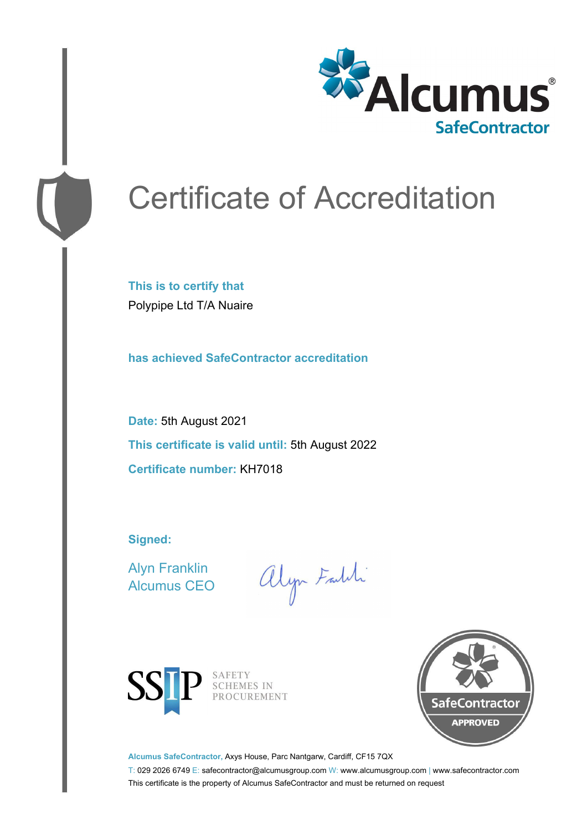

## Certificate of Accreditation

**This is to certify that** Polypipe Ltd T/A Nuaire

**has achieved SafeContractor accreditation**

**Date:** 5th August 2021 **This certificate is valid until:** 5th August 2022 **Certificate number:** KH7018

**Signed:**

Alyn Franklin Alcumus CEO

alyn Faith



SAFETY<br>SCHEMES IN PROCUREMENT



**Alcumus SafeContractor,** Axys House, Parc Nantgarw, Cardiff, CF15 7QX

T: 029 2026 6749 E: safecontractor@alcumusgroup.com W: www.alcumusgroup.com | www.safecontractor.com This certificate is the property of Alcumus SafeContractor and must be returned on request